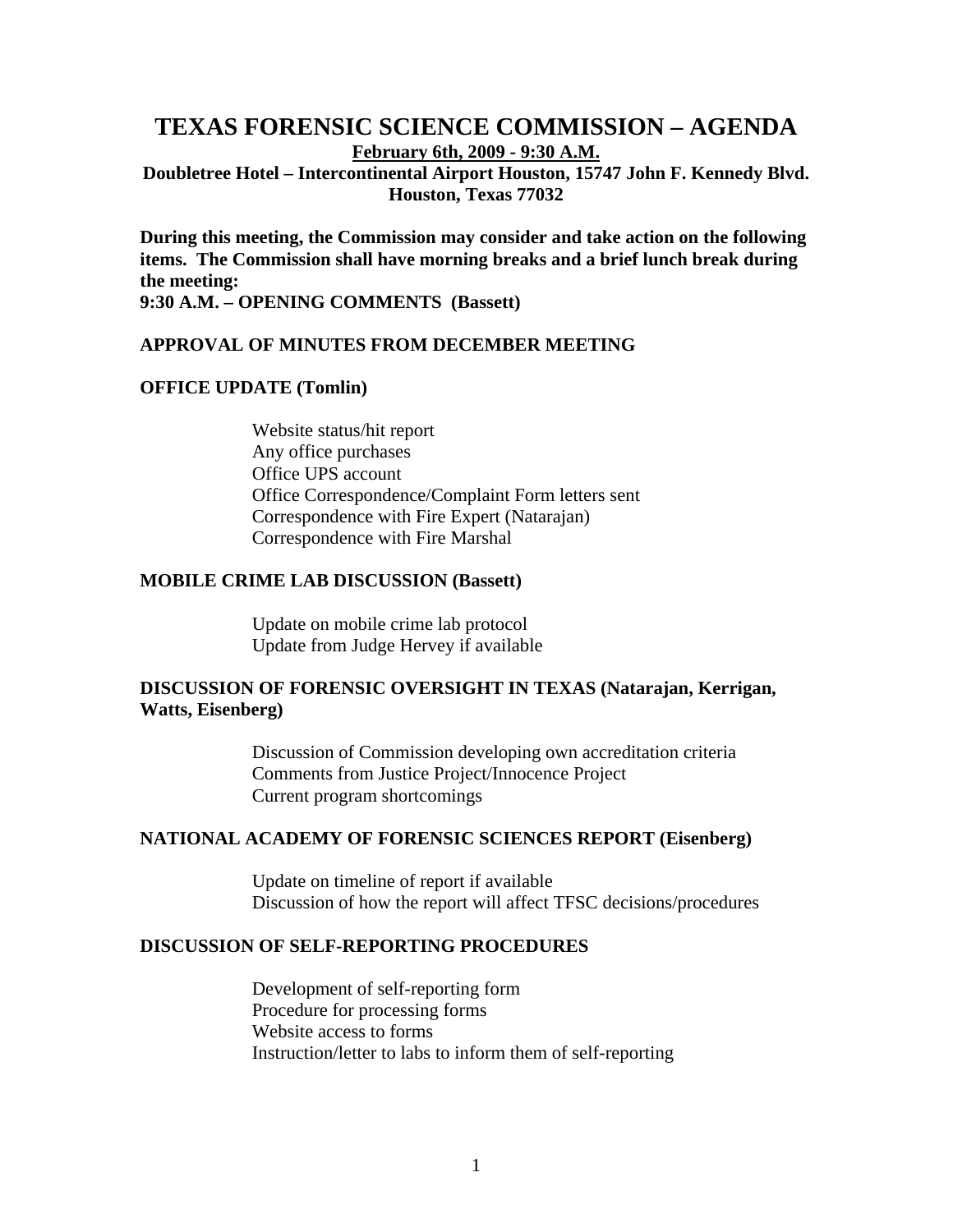# **TEXAS FORENSIC SCIENCE COMMISSION – AGENDA February 6th, 2009 - 9:30 A.M. Doubletree Hotel – Intercontinental Airport Houston, 15747 John F. Kennedy Blvd.**

**Houston, Texas 77032** 

**During this meeting, the Commission may consider and take action on the following items. The Commission shall have morning breaks and a brief lunch break during the meeting:** 

**9:30 A.M. – OPENING COMMENTS (Bassett)** 

#### **APPROVAL OF MINUTES FROM DECEMBER MEETING**

#### **OFFICE UPDATE (Tomlin)**

Website status/hit report Any office purchases Office UPS account Office Correspondence/Complaint Form letters sent Correspondence with Fire Expert (Natarajan) Correspondence with Fire Marshal

#### **MOBILE CRIME LAB DISCUSSION (Bassett)**

Update on mobile crime lab protocol Update from Judge Hervey if available

# **DISCUSSION OF FORENSIC OVERSIGHT IN TEXAS (Natarajan, Kerrigan, Watts, Eisenberg)**

Discussion of Commission developing own accreditation criteria Comments from Justice Project/Innocence Project Current program shortcomings

# **NATIONAL ACADEMY OF FORENSIC SCIENCES REPORT (Eisenberg)**

Update on timeline of report if available Discussion of how the report will affect TFSC decisions/procedures

### **DISCUSSION OF SELF-REPORTING PROCEDURES**

Development of self-reporting form Procedure for processing forms Website access to forms Instruction/letter to labs to inform them of self-reporting